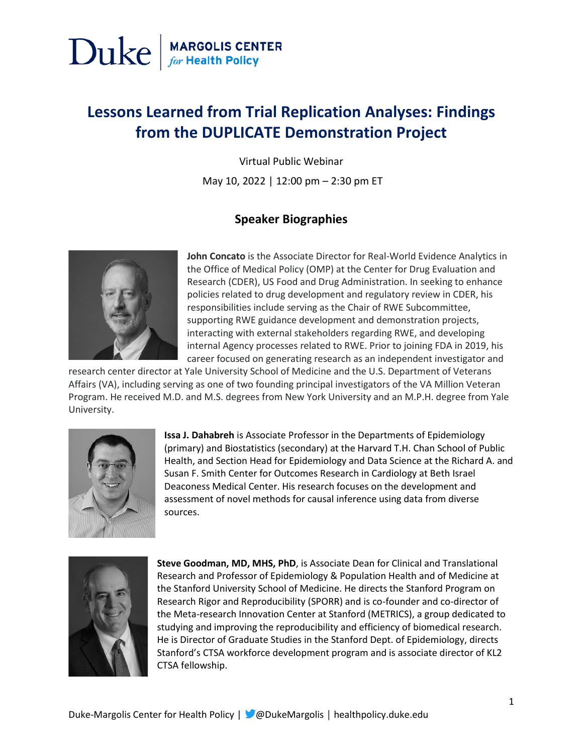### **Lessons Learned from Trial Replication Analyses: Findings from the DUPLICATE Demonstration Project**

Virtual Public Webinar

May 10, 2022 | 12:00 pm – 2:30 pm ET

#### **Speaker Biographies**



**John Concato** is the Associate Director for Real-World Evidence Analytics in the Office of Medical Policy (OMP) at the Center for Drug Evaluation and Research (CDER), US Food and Drug Administration. In seeking to enhance policies related to drug development and regulatory review in CDER, his responsibilities include serving as the Chair of RWE Subcommittee, supporting RWE guidance development and demonstration projects, interacting with external stakeholders regarding RWE, and developing internal Agency processes related to RWE. Prior to joining FDA in 2019, his career focused on generating research as an independent investigator and

research center director at Yale University School of Medicine and the U.S. Department of Veterans Affairs (VA), including serving as one of two founding principal investigators of the VA Million Veteran Program. He received M.D. and M.S. degrees from New York University and an M.P.H. degree from Yale University.



**Issa J. Dahabreh** is Associate Professor in the Departments of Epidemiology (primary) and Biostatistics (secondary) at the Harvard T.H. Chan School of Public Health, and Section Head for Epidemiology and Data Science at the Richard A. and Susan F. Smith Center for Outcomes Research in Cardiology at Beth Israel Deaconess Medical Center. His research focuses on the development and assessment of novel methods for causal inference using data from diverse sources.



**Steve Goodman, MD, MHS, PhD**, is Associate Dean for Clinical and Translational Research and Professor of Epidemiology & Population Health and of Medicine at the Stanford University School of Medicine. He directs the Stanford Program on Research Rigor and Reproducibility (SPORR) and is co-founder and co-director of the Meta-research Innovation Center at Stanford (METRICS), a group dedicated to studying and improving the reproducibility and efficiency of biomedical research. He is Director of Graduate Studies in the Stanford Dept. of Epidemiology, directs Stanford's CTSA workforce development program and is associate director of KL2 CTSA fellowship.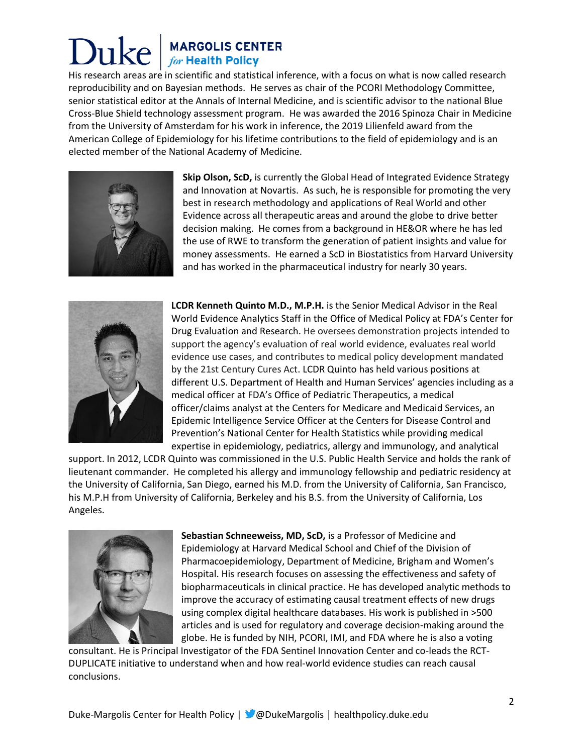# **MARGOLIS CENTER**<br>for Health Policy

His research areas are in scientific and statistical inference, with a focus on what is now called research reproducibility and on Bayesian methods. He serves as chair of the PCORI Methodology Committee, senior statistical editor at the Annals of Internal Medicine, and is scientific advisor to the national Blue Cross-Blue Shield technology assessment program. He was awarded the 2016 Spinoza Chair in Medicine from the University of Amsterdam for his work in inference, the 2019 Lilienfeld award from the American College of Epidemiology for his lifetime contributions to the field of epidemiology and is an elected member of the National Academy of Medicine.



**Skip Olson, ScD,** is currently the Global Head of Integrated Evidence Strategy and Innovation at Novartis. As such, he is responsible for promoting the very best in research methodology and applications of Real World and other Evidence across all therapeutic areas and around the globe to drive better decision making. He comes from a background in HE&OR where he has led the use of RWE to transform the generation of patient insights and value for money assessments. He earned a ScD in Biostatistics from Harvard University and has worked in the pharmaceutical industry for nearly 30 years.



**LCDR Kenneth Quinto M.D., M.P.H.** is the Senior Medical Advisor in the Real World Evidence Analytics Staff in the Office of Medical Policy at FDA's Center for Drug Evaluation and Research. He oversees demonstration projects intended to support the agency's evaluation of real world evidence, evaluates real world evidence use cases, and contributes to medical policy development mandated by the 21st Century Cures Act. LCDR Quinto has held various positions at different U.S. Department of Health and Human Services' agencies including as a medical officer at FDA's Office of Pediatric Therapeutics, a medical officer/claims analyst at the Centers for Medicare and Medicaid Services, an Epidemic Intelligence Service Officer at the Centers for Disease Control and Prevention's National Center for Health Statistics while providing medical expertise in epidemiology, pediatrics, allergy and immunology, and analytical

support. In 2012, LCDR Quinto was commissioned in the U.S. Public Health Service and holds the rank of lieutenant commander. He completed his allergy and immunology fellowship and pediatric residency at the University of California, San Diego, earned his M.D. from the University of California, San Francisco, his M.P.H from University of California, Berkeley and his B.S. from the University of California, Los Angeles.



**Sebastian Schneeweiss, MD, ScD,** is a Professor of Medicine and Epidemiology at Harvard Medical School and Chief of the Division of Pharmacoepidemiology, Department of Medicine, Brigham and Women's Hospital. His research focuses on assessing the effectiveness and safety of biopharmaceuticals in clinical practice. He has developed analytic methods to improve the accuracy of estimating causal treatment effects of new drugs using complex digital healthcare databases. His work is published in >500 articles and is used for regulatory and coverage decision-making around the globe. He is funded by NIH, PCORI, IMI, and FDA where he is also a voting

consultant. He is Principal Investigator of the FDA Sentinel Innovation Center and co-leads the RCT-DUPLICATE initiative to understand when and how real-world evidence studies can reach causal conclusions.